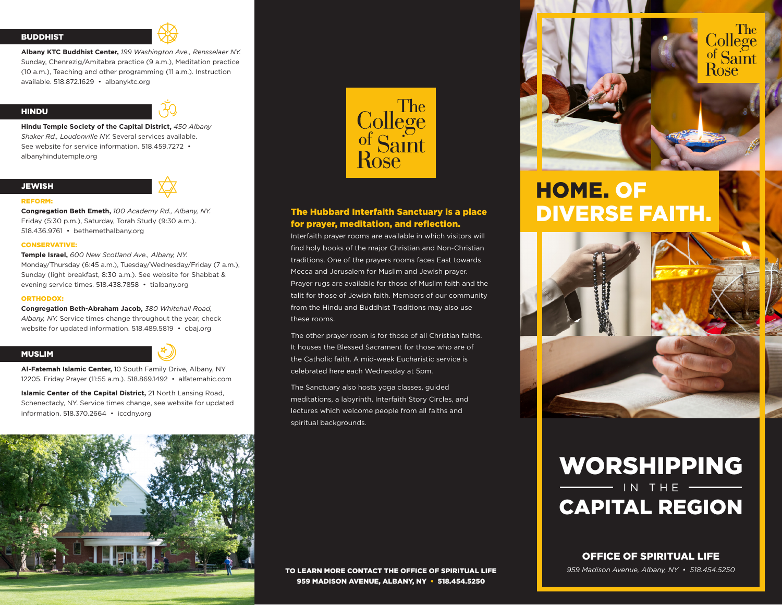#### **BUDDHIST**



**Albany KTC Buddhist Center,** *199 Washington Ave., Rensselaer NY.*  Sunday, Chenrezig/Amitabra practice (9 a.m.), Meditation practice (10 a.m.), Teaching and other programming (11 a.m.). Instruction available. 518.872.1629 • albanyktc.org

#### HINDU



**Hindu Temple Society of the Capital District,** *450 Albany Shaker Rd., Loudonville NY.* Several services available. See website for service information. 518.459.7272 • albanyhindutemple.org

# **JEWISH**





**Congregation Beth Emeth,** *100 Academy Rd., Albany, NY.* Friday (5:30 p.m.), Saturday, Torah Study (9:30 a.m.). 518.436.9761 • bethemethalbany.org

#### CONSERVATIVE:

**Temple Israel,** *600 New Scotland Ave., Albany, NY.*  Monday/Thursday (6:45 a.m.), Tuesday/Wednesday/Friday (7 a.m.), Sunday (light breakfast, 8:30 a.m.). See website for Shabbat & evening service times. 518.438.7858 • tialbany.org

#### ORTHODOX:

**Congregation Beth-Abraham Jacob,** *380 Whitehall Road, Albany, NY.* Service times change throughout the year, check website for updated information. 518.489.5819 • cbaj.org

#### MUSLIM

**Al-Fatemah Islamic Center,** 10 South Family Drive, Albany, NY 12205. Friday Prayer (11:55 a.m.). 518.869.1492 • alfatemahic.com

**Islamic Center of the Capital District,** 21 North Lansing Road, Schenectady, NY. Service times change, see website for updated information. 518.370.2664 • iccdny.org





# The Hubbard Interfaith Sanctuary is a place for prayer, meditation, and reflection.

Interfaith prayer rooms are available in which visitors will find holy books of the major Christian and Non-Christian traditions. One of the prayers rooms faces East towards Mecca and Jerusalem for Muslim and Jewish prayer. Prayer rugs are available for those of Muslim faith and the talit for those of Jewish faith. Members of our community from the Hindu and Buddhist Traditions may also use these rooms.

The other prayer room is for those of all Christian faiths. It houses the Blessed Sacrament for those who are of the Catholic faith. A mid-week Eucharistic service is celebrated here each Wednesday at 5pm.

The Sanctuary also hosts yoga classes, guided meditations, a labyrinth, Interfaith Story Circles, and lectures which welcome people from all faiths and spiritual backgrounds.

HOME. OF DIVERSE FAITH.



# WORSHIPPING IN THE CAPITAL REGION

## OFFICE OF SPIRITUAL LIFE

*959 Madison Avenue, Albany, NY • 518.454.5250*

TO LEARN MORE CONTACT THE OFFICE OF SPIRITUAL LIFE 959 MADISON AVENUE, ALBANY, NY • 518.454.5250